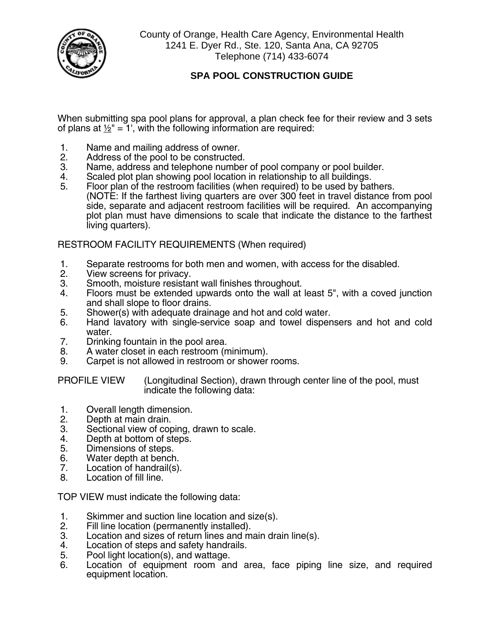

County of Orange, Health Care Agency, Environmental Health 1241 E. Dyer Rd., Ste. 120, Santa Ana, CA 92705 Telephone (714) 433-6074

## **SPA POOL CONSTRUCTION GUIDE**

When submitting spa pool plans for approval, a plan check fee for their review and 3 sets of plans at  $1/2$ " = 1', with the following information are required:

- 1. Name and mailing address of owner.<br>2. Address of the pool to be constructed
- 2. Address of the pool to be constructed.<br>3. Name, address and telephone number
- 3. Name, address and telephone number of pool company or pool builder.<br>4. Scaled plot plan showing pool location in relationship to all buildings.
- 4. Scaled plot plan showing pool location in relationship to all buildings.<br>5. Floor plan of the restroom facilities (when required) to be used by bat
- Floor plan of the restroom facilities (when required) to be used by bathers. (NOTE: If the farthest living quarters are over 300 feet in travel distance from pool side, separate and adjacent restroom facilities will be required. An accompanying plot plan must have dimensions to scale that indicate the distance to the farthest living quarters).

RESTROOM FACILITY REQUIREMENTS (When required)

- 1. Separate restrooms for both men and women, with access for the disabled.<br>2. View screens for privacy.
- 2. View screens for privacy.<br>3. Smooth. moisture resistar
- 3. Smooth, moisture resistant wall finishes throughout.<br>4. Floors must be extended upwards onto the wall at
- 4. Floors must be extended upwards onto the wall at least 5", with a coved junction and shall slope to floor drains.
- 5. Shower(s) with adequate drainage and hot and cold water.
- 6. Hand lavatory with single-service soap and towel dispensers and hot and cold water.
- 7. Drinking fountain in the pool area.<br>8. A water closet in each restroom (n
- 8. A water closet in each restroom (minimum).<br>9. Carpet is not allowed in restroom or shower
- Carpet is not allowed in restroom or shower rooms.

PROFILE VIEW (Longitudinal Section), drawn through center line of the pool, must indicate the following data:

- 1. Overall length dimension.<br>2. Depth at main drain.
- 2. Depth at main drain.
- 3. Sectional view of coping, drawn to scale.<br>4. Depth at bottom of steps.
- 4. Depth at bottom of steps.<br>5. Dimensions of steps.
- Dimensions of steps.
- 6. Water depth at bench.<br>7. Location of handrail(s).
- 7. Location of handrail(s).<br>8. Location of fill line.
- Location of fill line.

TOP VIEW must indicate the following data:

- 1. Skimmer and suction line location and size(s).<br>2. Fill line location (permanently installed).
- 2. Fill line location (permanently installed).<br>3. Location and sizes of return lines and m
- 3. Location and sizes of return lines and main drain line(s).<br>4. Location of steps and safety handrails.
- 4. Location of steps and safety handrails.<br>5. Pool light location(s), and wattage.
- 5. Pool light location(s), and wattage.<br>6. Location of equipment room an
- Location of equipment room and area, face piping line size, and required equipment location.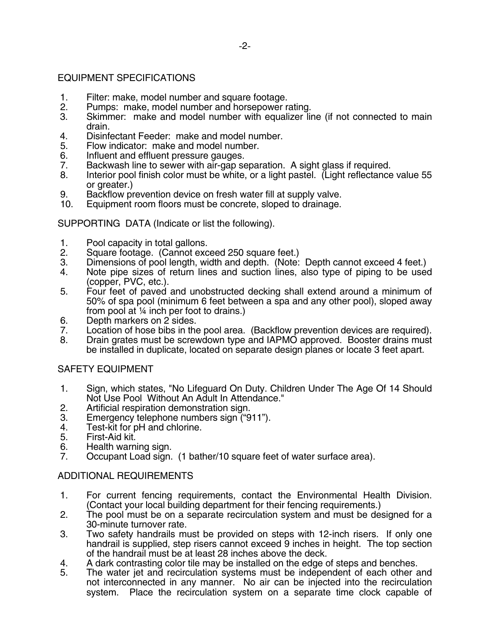## EQUIPMENT SPECIFICATIONS

- 1. Filter: make, model number and square footage.<br>2. Pumps: make, model number and horsepower r
- 2. Pumps: make, model number and horsepower rating.<br>3. Skimmer: make and model number with equalizer lip
- Skimmer: make and model number with equalizer line (if not connected to main drain.
- 4. Disinfectant Feeder: make and model number.<br>5. Flow indicator: make and model number.
- 5. Flow indicator: make and model number.<br>6. Influent and effluent pressure gauges.
- 6. Influent and effluent pressure gauges.<br>7. Backwash line to sewer with air-gap se
- 7. Backwash line to sewer with air-gap separation. A sight glass if required.
- Interior pool finish color must be white, or a light pastel. (Light reflectance value 55 or greater.)
- 9. Backflow prevention device on fresh water fill at supply valve.<br>10. Equipment room floors must be concrete, sloped to drainage.
- Equipment room floors must be concrete, sloped to drainage.

SUPPORTING DATA (Indicate or list the following).

- 1. Pool capacity in total gallons.<br>2. Square footage. (Cannot exc
- 2. Square footage. (Cannot exceed 250 square feet.)<br>3. Dimensions of pool length, width and depth. (Note:
- 3. Dimensions of pool length, width and depth. (Note: Depth cannot exceed 4 feet.)<br>4. Note pipe sizes of return lines and suction lines, also type of piping to be used
- Note pipe sizes of return lines and suction lines, also type of piping to be used (copper, PVC, etc.).
- 5. Four feet of paved and unobstructed decking shall extend around a minimum of 50% of spa pool (minimum 6 feet between a spa and any other pool), sloped away from pool at ¼ inch per foot to drains.)
- 6. Depth markers on 2 sides.<br>7. Location of hose bibs in the
- Location of hose bibs in the pool area. (Backflow prevention devices are required).
- 8. Drain grates must be screwdown type and IAPMO approved. Booster drains must be installed in duplicate, located on separate design planes or locate 3 feet apart.

## SAFETY EQUIPMENT

- 1. Sign, which states, "No Lifeguard On Duty. Children Under The Age Of 14 Should Not Use Pool Without An Adult In Attendance."
- 2. Artificial respiration demonstration sign.<br>3. Emergency telephone numbers sign ("9
- 3. Emergency telephone numbers sign ("911").<br>4. Test-kit for pH and chlorine.
- 4. Test-kit for pH and chlorine.<br>5. First-Aid kit.
- 5. First-Aid kit.
- 6. Health warning sign.<br>7. Cocupant Load sign.
- Occupant Load sign. (1 bather/10 square feet of water surface area).

## ADDITIONAL REQUIREMENTS

- 1. For current fencing requirements, contact the Environmental Health Division. (Contact your local building department for their fencing requirements.)
- 2. The pool must be on a separate recirculation system and must be designed for a 30-minute turnover rate.
- 3. Two safety handrails must be provided on steps with 12-inch risers. If only one handrail is supplied, step risers cannot exceed 9 inches in height. The top section of the handrail must be at least 28 inches above the deck.
- 4. A dark contrasting color tile may be installed on the edge of steps and benches.<br>5. The water jet and recirculation systems must be independent of each other a
- The water jet and recirculation systems must be independent of each other and not interconnected in any manner. No air can be injected into the recirculation system. Place the recirculation system on a separate time clock capable of